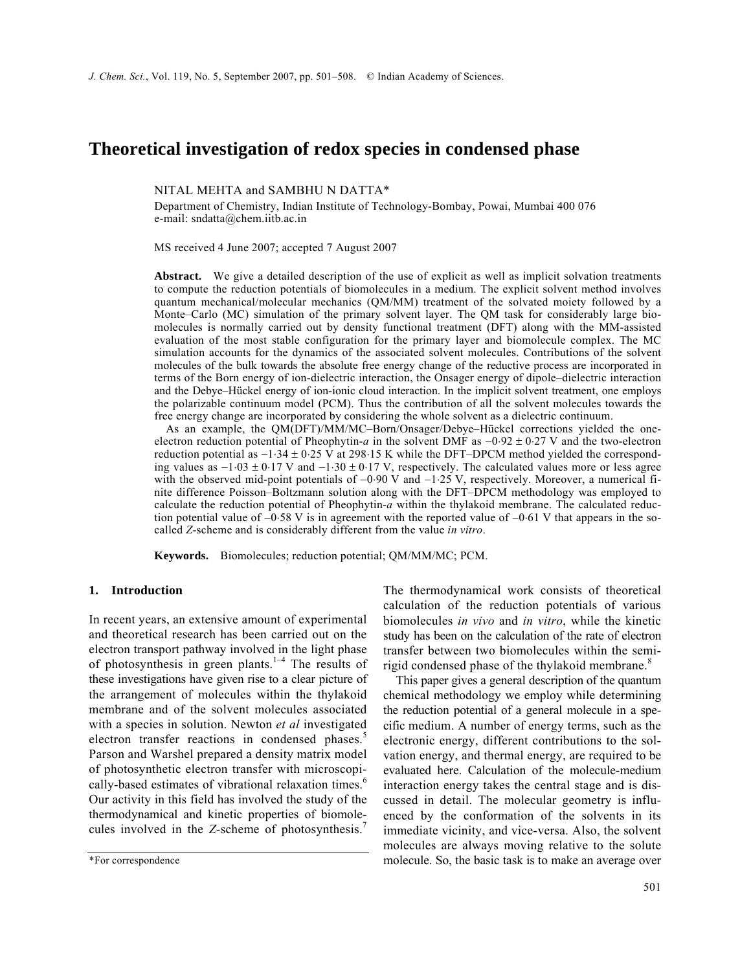# **Theoretical investigation of redox species in condensed phase**

NITAL MEHTA and SAMBHU N DATTA\*

Department of Chemistry, Indian Institute of Technology-Bombay, Powai, Mumbai 400 076 e-mail: sndatta@chem.iitb.ac.in

MS received 4 June 2007; accepted 7 August 2007

**Abstract.** We give a detailed description of the use of explicit as well as implicit solvation treatments to compute the reduction potentials of biomolecules in a medium. The explicit solvent method involves quantum mechanical/molecular mechanics (QM/MM) treatment of the solvated moiety followed by a Monte–Carlo (MC) simulation of the primary solvent layer. The QM task for considerably large biomolecules is normally carried out by density functional treatment (DFT) along with the MM-assisted evaluation of the most stable configuration for the primary layer and biomolecule complex. The MC simulation accounts for the dynamics of the associated solvent molecules. Contributions of the solvent molecules of the bulk towards the absolute free energy change of the reductive process are incorporated in terms of the Born energy of ion-dielectric interaction, the Onsager energy of dipole–dielectric interaction and the Debye–Hückel energy of ion-ionic cloud interaction. In the implicit solvent treatment, one employs the polarizable continuum model (PCM). Thus the contribution of all the solvent molecules towards the free energy change are incorporated by considering the whole solvent as a dielectric continuum.

 As an example, the QM(DFT)/MM/MC–Born/Onsager/Debye–Hückel corrections yielded the oneelectron reduction potential of Pheophytin-*a* in the solvent DMF as −0⋅92 ± 0⋅27 V and the two-electron reduction potential as −1⋅34 ± 0⋅25 V at 298⋅15 K while the DFT–DPCM method yielded the corresponding values as  $-1.03 \pm 0.17$  V and  $-1.30 \pm 0.17$  V, respectively. The calculated values more or less agree with the observed mid-point potentials of -0⋅90 V and -1⋅25 V, respectively. Moreover, a numerical finite difference Poisson–Boltzmann solution along with the DFT–DPCM methodology was employed to calculate the reduction potential of Pheophytin-*a* within the thylakoid membrane. The calculated reduction potential value of −0⋅58 V is in agreement with the reported value of −0⋅61 V that appears in the socalled *Z*-scheme and is considerably different from the value *in vitro*.

**Keywords.** Biomolecules; reduction potential; QM/MM/MC; PCM.

## **1. Introduction**

In recent years, an extensive amount of experimental and theoretical research has been carried out on the electron transport pathway involved in the light phase of photosynthesis in green plants.<sup>1–4</sup> The results of these investigations have given rise to a clear picture of the arrangement of molecules within the thylakoid membrane and of the solvent molecules associated with a species in solution. Newton *et al* investigated electron transfer reactions in condensed phases.<sup>5</sup> Parson and Warshel prepared a density matrix model of photosynthetic electron transfer with microscopically-based estimates of vibrational relaxation times.<sup>6</sup> Our activity in this field has involved the study of the thermodynamical and kinetic properties of biomolecules involved in the *Z*-scheme of photosynthesis.<sup>7</sup>

The thermodynamical work consists of theoretical calculation of the reduction potentials of various biomolecules *in vivo* and *in vitro*, while the kinetic study has been on the calculation of the rate of electron transfer between two biomolecules within the semirigid condensed phase of the thylakoid membrane.<sup>8</sup>

 This paper gives a general description of the quantum chemical methodology we employ while determining the reduction potential of a general molecule in a specific medium. A number of energy terms, such as the electronic energy, different contributions to the solvation energy, and thermal energy, are required to be evaluated here. Calculation of the molecule-medium interaction energy takes the central stage and is discussed in detail. The molecular geometry is influenced by the conformation of the solvents in its immediate vicinity, and vice-versa. Also, the solvent molecules are always moving relative to the solute molecule. So, the basic task is to make an average over

<sup>\*</sup>For correspondence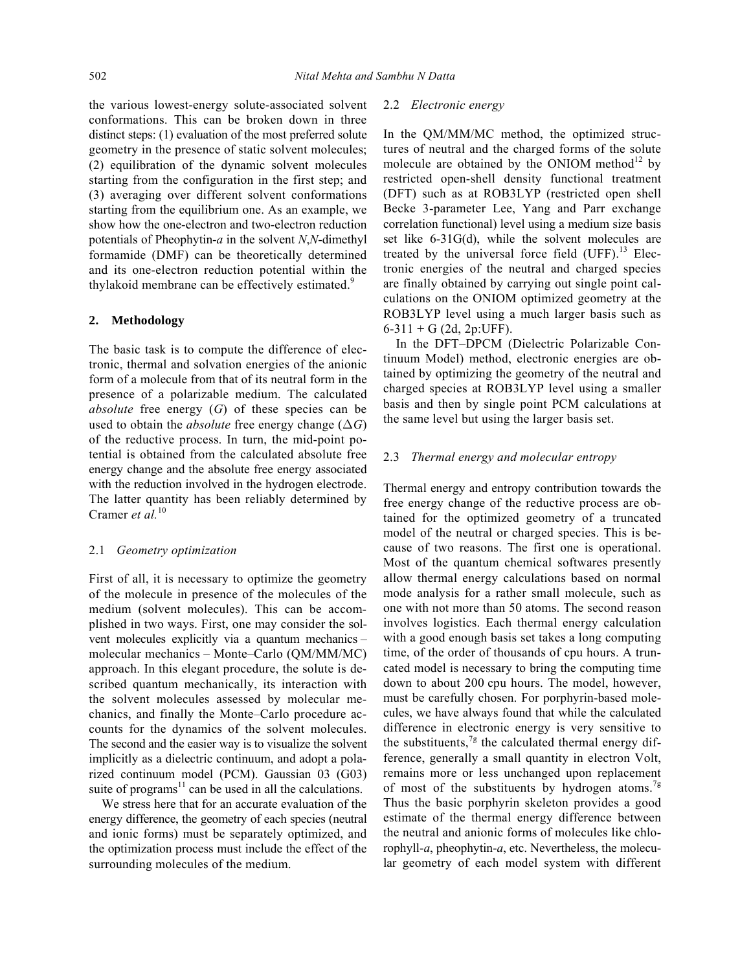the various lowest-energy solute-associated solvent conformations. This can be broken down in three distinct steps: (1) evaluation of the most preferred solute geometry in the presence of static solvent molecules; (2) equilibration of the dynamic solvent molecules starting from the configuration in the first step; and (3) averaging over different solvent conformations starting from the equilibrium one. As an example, we show how the one-electron and two-electron reduction potentials of Pheophytin-*a* in the solvent *N*,*N*-dimethyl formamide (DMF) can be theoretically determined and its one-electron reduction potential within the thylakoid membrane can be effectively estimated.<sup>9</sup>

## **2. Methodology**

The basic task is to compute the difference of electronic, thermal and solvation energies of the anionic form of a molecule from that of its neutral form in the presence of a polarizable medium. The calculated *absolute* free energy (*G*) of these species can be used to obtain the *absolute* free energy change  $(\Delta G)$ of the reductive process. In turn, the mid-point potential is obtained from the calculated absolute free energy change and the absolute free energy associated with the reduction involved in the hydrogen electrode. The latter quantity has been reliably determined by Cramer *et al.*<sup>10</sup>

## 2.1 *Geometry optimization*

First of all, it is necessary to optimize the geometry of the molecule in presence of the molecules of the medium (solvent molecules). This can be accomplished in two ways. First, one may consider the solvent molecules explicitly via a quantum mechanics – molecular mechanics – Monte–Carlo (QM/MM/MC) approach. In this elegant procedure, the solute is described quantum mechanically, its interaction with the solvent molecules assessed by molecular mechanics, and finally the Monte–Carlo procedure accounts for the dynamics of the solvent molecules. The second and the easier way is to visualize the solvent implicitly as a dielectric continuum, and adopt a polarized continuum model (PCM). Gaussian 03 (G03) suite of programs $11$  can be used in all the calculations.

 We stress here that for an accurate evaluation of the energy difference, the geometry of each species (neutral and ionic forms) must be separately optimized, and the optimization process must include the effect of the surrounding molecules of the medium.

## 2.2 *Electronic energy*

In the QM/MM/MC method, the optimized structures of neutral and the charged forms of the solute molecule are obtained by the ONIOM method<sup>12</sup> by restricted open-shell density functional treatment (DFT) such as at ROB3LYP (restricted open shell Becke 3-parameter Lee, Yang and Parr exchange correlation functional) level using a medium size basis set like 6-31G(d), while the solvent molecules are treated by the universal force field  $(UFF)$ .<sup>13</sup> Electronic energies of the neutral and charged species are finally obtained by carrying out single point calculations on the ONIOM optimized geometry at the ROB3LYP level using a much larger basis such as  $6-311 + G$  (2d, 2p:UFF).

 In the DFT–DPCM (Dielectric Polarizable Continuum Model) method, electronic energies are obtained by optimizing the geometry of the neutral and charged species at ROB3LYP level using a smaller basis and then by single point PCM calculations at the same level but using the larger basis set.

## 2.3 *Thermal energy and molecular entropy*

Thermal energy and entropy contribution towards the free energy change of the reductive process are obtained for the optimized geometry of a truncated model of the neutral or charged species. This is because of two reasons. The first one is operational. Most of the quantum chemical softwares presently allow thermal energy calculations based on normal mode analysis for a rather small molecule, such as one with not more than 50 atoms. The second reason involves logistics. Each thermal energy calculation with a good enough basis set takes a long computing time, of the order of thousands of cpu hours. A truncated model is necessary to bring the computing time down to about 200 cpu hours. The model, however, must be carefully chosen. For porphyrin-based molecules, we have always found that while the calculated difference in electronic energy is very sensitive to the substituents,  $7g$  the calculated thermal energy difference, generally a small quantity in electron Volt, remains more or less unchanged upon replacement of most of the substituents by hydrogen atoms.<sup>7g</sup> Thus the basic porphyrin skeleton provides a good estimate of the thermal energy difference between the neutral and anionic forms of molecules like chlorophyll-*a*, pheophytin-*a*, etc. Nevertheless, the molecular geometry of each model system with different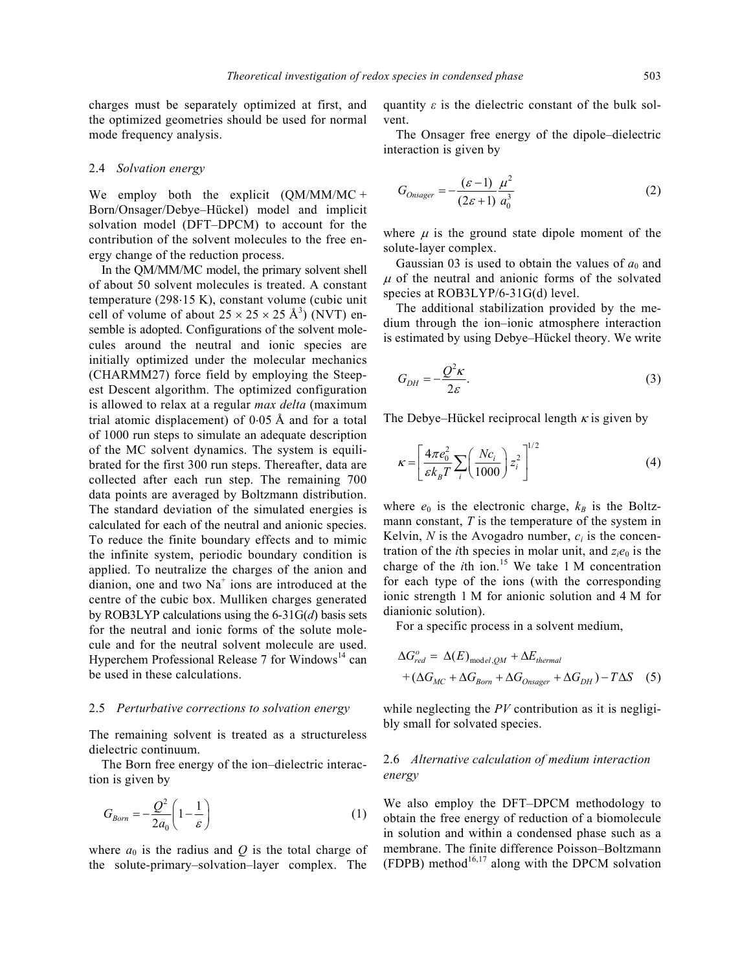charges must be separately optimized at first, and the optimized geometries should be used for normal mode frequency analysis.

## 2.4 *Solvation energy*

We employ both the explicit (QM/MM/MC + Born/Onsager/Debye–Hückel) model and implicit solvation model (DFT–DPCM) to account for the contribution of the solvent molecules to the free energy change of the reduction process.

 In the QM/MM/MC model, the primary solvent shell of about 50 solvent molecules is treated. A constant temperature (298⋅15 K), constant volume (cubic unit cell of volume of about  $25 \times 25 \times 25$  Å<sup>3</sup>) (NVT) ensemble is adopted. Configurations of the solvent molecules around the neutral and ionic species are initially optimized under the molecular mechanics (CHARMM27) force field by employing the Steepest Descent algorithm. The optimized configuration is allowed to relax at a regular *max delta* (maximum trial atomic displacement) of 0⋅05 Å and for a total of 1000 run steps to simulate an adequate description of the MC solvent dynamics. The system is equilibrated for the first 300 run steps. Thereafter, data are collected after each run step. The remaining 700 data points are averaged by Boltzmann distribution. The standard deviation of the simulated energies is calculated for each of the neutral and anionic species. To reduce the finite boundary effects and to mimic the infinite system, periodic boundary condition is applied. To neutralize the charges of the anion and dianion, one and two  $Na<sup>+</sup>$  ions are introduced at the centre of the cubic box. Mulliken charges generated by ROB3LYP calculations using the 6-31G(*d*) basis sets for the neutral and ionic forms of the solute molecule and for the neutral solvent molecule are used. Hyperchem Professional Release  $7$  for Windows<sup>14</sup> can be used in these calculations.

## 2.5 *Perturbative corrections to solvation energy*

The remaining solvent is treated as a structureless dielectric continuum.

 The Born free energy of the ion–dielectric interaction is given by

$$
G_{Born} = -\frac{Q^2}{2a_0} \left( 1 - \frac{1}{\varepsilon} \right) \tag{1}
$$

where  $a_0$  is the radius and  $Q$  is the total charge of the solute-primary–solvation–layer complex. The

quantity  $\varepsilon$  is the dielectric constant of the bulk solvent.

 The Onsager free energy of the dipole–dielectric interaction is given by

$$
G_{Onsager} = -\frac{(\varepsilon - 1)}{(2\varepsilon + 1)} \frac{\mu^2}{a_0^3}
$$
 (2)

where  $\mu$  is the ground state dipole moment of the solute-layer complex.

Gaussian 03 is used to obtain the values of  $a_0$  and  $\mu$  of the neutral and anionic forms of the solvated species at ROB3LYP/6-31G(d) level.

 The additional stabilization provided by the medium through the ion–ionic atmosphere interaction is estimated by using Debye–Hückel theory. We write

$$
G_{DH} = -\frac{Q^2 \kappa}{2\varepsilon}.
$$
\n(3)

The Debye–Hückel reciprocal length  $\kappa$  is given by

$$
\kappa = \left[\frac{4\pi e_0^2}{\varepsilon k_B T} \sum_i \left(\frac{Nc_i}{1000}\right) z_i^2\right]^{1/2} \tag{4}
$$

where  $e_0$  is the electronic charge,  $k_B$  is the Boltzmann constant, *T* is the temperature of the system in Kelvin,  $N$  is the Avogadro number,  $c_i$  is the concentration of the *i*th species in molar unit, and  $z_i e_0$  is the charge of the *th ion.<sup>15</sup> We take 1 M concentration* for each type of the ions (with the corresponding ionic strength 1 M for anionic solution and 4 M for dianionic solution).

For a specific process in a solvent medium,

$$
\Delta G_{red}^o = \Delta(E)_{model,QM} + \Delta E_{thermal}
$$
  
+  $(\Delta G_{MC} + \Delta G_{Born} + \Delta G_{Onsager} + \Delta G_{DH}) - T\Delta S$  (5)

while neglecting the *PV* contribution as it is negligibly small for solvated species.

# 2.6 *Alternative calculation of medium interaction energy*

We also employ the DFT–DPCM methodology to obtain the free energy of reduction of a biomolecule in solution and within a condensed phase such as a membrane. The finite difference Poisson–Boltzmann (FDPB) method<sup>16,17</sup> along with the DPCM solvation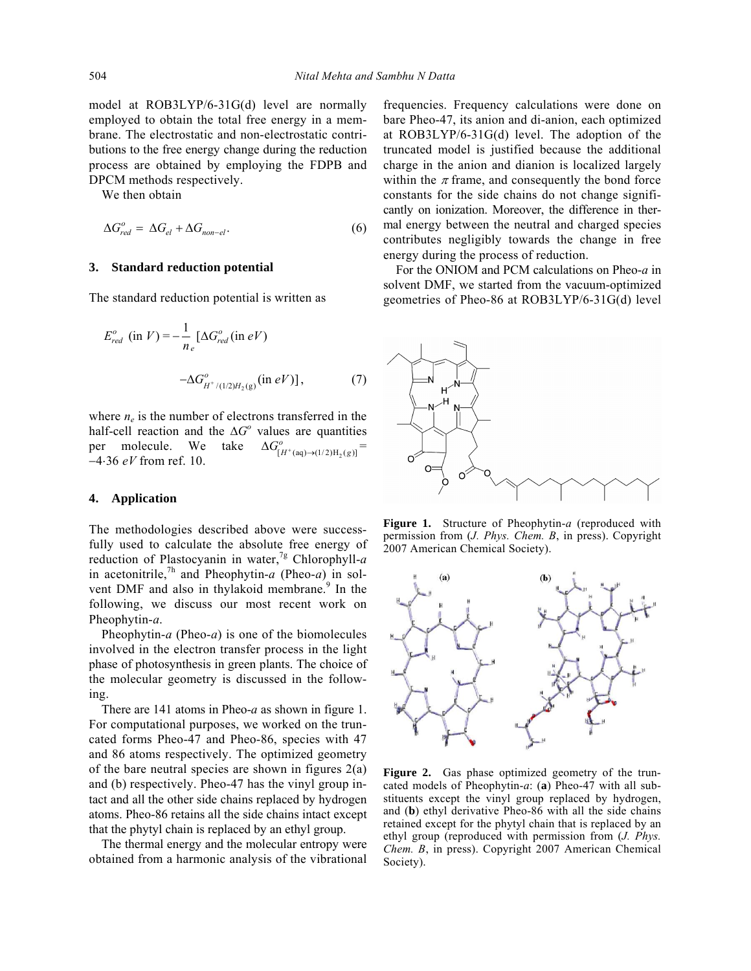model at ROB3LYP/6-31G(d) level are normally employed to obtain the total free energy in a membrane. The electrostatic and non-electrostatic contributions to the free energy change during the reduction process are obtained by employing the FDPB and DPCM methods respectively.

We then obtain

$$
\Delta G_{red}^o = \Delta G_{el} + \Delta G_{non-el}.
$$
 (6)

## **3. Standard reduction potential**

The standard reduction potential is written as

$$
E_{red}^{o} \text{ (in } V) = -\frac{1}{n_e} \left[ \Delta G_{red}^{o} \text{ (in } eV) \right]
$$

$$
-\Delta G_{H^{+}/(1/2)H_2(g)}^{o} \text{ (in } eV) \right], \tag{7}
$$

where  $n_e$  is the number of electrons transferred in the half-cell reaction and the  $\Delta G^{\circ}$  values are quantities per molecule. We take  $\Delta G_{[H^+(aq)\to (1/2)H_2(g)]}^0 =$ −4⋅36 *eV* from ref. 10.

#### **4. Application**

The methodologies described above were successfully used to calculate the absolute free energy of reduction of Plastocyanin in water,<sup>7g</sup> Chlorophyll- $a$ in acetonitrile,7h and Pheophytin-*a* (Pheo-*a*) in solvent DMF and also in thylakoid membrane.<sup>9</sup> In the following, we discuss our most recent work on Pheophytin-*a*.

 Pheophytin-*a* (Pheo-*a*) is one of the biomolecules involved in the electron transfer process in the light phase of photosynthesis in green plants. The choice of the molecular geometry is discussed in the following.

 There are 141 atoms in Pheo-*a* as shown in figure 1. For computational purposes, we worked on the truncated forms Pheo-47 and Pheo-86, species with 47 and 86 atoms respectively. The optimized geometry of the bare neutral species are shown in figures 2(a) and (b) respectively. Pheo-47 has the vinyl group intact and all the other side chains replaced by hydrogen atoms. Pheo-86 retains all the side chains intact except that the phytyl chain is replaced by an ethyl group.

 The thermal energy and the molecular entropy were obtained from a harmonic analysis of the vibrational frequencies. Frequency calculations were done on bare Pheo-47, its anion and di-anion, each optimized at ROB3LYP/6-31G(d) level. The adoption of the truncated model is justified because the additional charge in the anion and dianion is localized largely within the  $\pi$  frame, and consequently the bond force constants for the side chains do not change significantly on ionization. Moreover, the difference in thermal energy between the neutral and charged species contributes negligibly towards the change in free energy during the process of reduction.

 For the ONIOM and PCM calculations on Pheo-*a* in solvent DMF, we started from the vacuum-optimized geometries of Pheo-86 at ROB3LYP/6-31G(d) level



**Figure 1.** Structure of Pheophytin-*a* (reproduced with permission from (*J. Phys. Chem. B*, in press). Copyright 2007 American Chemical Society).



**Figure 2.** Gas phase optimized geometry of the truncated models of Pheophytin-*a*: (**a**) Pheo-47 with all substituents except the vinyl group replaced by hydrogen, and (**b**) ethyl derivative Pheo-86 with all the side chains retained except for the phytyl chain that is replaced by an ethyl group (reproduced with permission from (*J. Phys. Chem. B*, in press). Copyright 2007 American Chemical Society).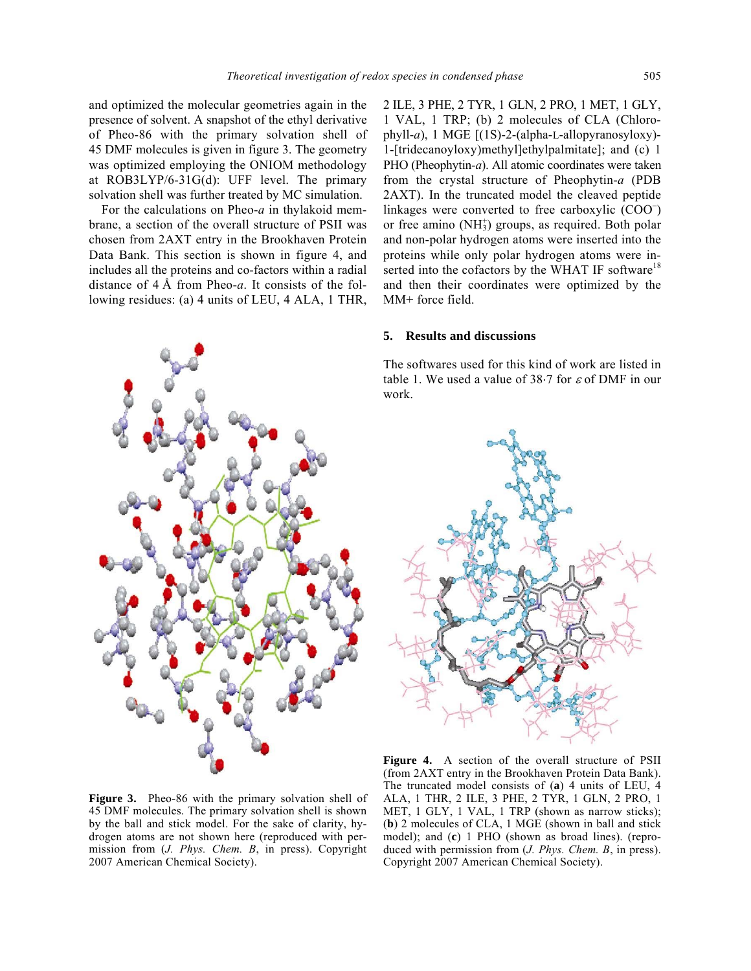and optimized the molecular geometries again in the presence of solvent. A snapshot of the ethyl derivative of Pheo-86 with the primary solvation shell of 45 DMF molecules is given in figure 3. The geometry was optimized employing the ONIOM methodology at ROB3LYP/6-31G(d): UFF level. The primary solvation shell was further treated by MC simulation.

 For the calculations on Pheo-*a* in thylakoid membrane, a section of the overall structure of PSII was chosen from 2AXT entry in the Brookhaven Protein Data Bank. This section is shown in figure 4, and includes all the proteins and co-factors within a radial distance of 4 Å from Pheo-*a*. It consists of the following residues: (a) 4 units of LEU, 4 ALA, 1 THR,



2 ILE, 3 PHE, 2 TYR, 1 GLN, 2 PRO, 1 MET, 1 GLY, 1 VAL, 1 TRP; (b) 2 molecules of CLA (Chlorophyll-*a*), 1 MGE [(1S)-2-(alpha-L-allopyranosyloxy)- 1-[tridecanoyloxy)methyl]ethylpalmitate]; and (c) 1 PHO (Pheophytin-*a*). All atomic coordinates were taken from the crystal structure of Pheophytin-*a* (PDB 2AXT). In the truncated model the cleaved peptide linkages were converted to free carboxylic  $(COO^{-})$ or free amino (NH<sub>3</sub>) groups, as required. Both polar and non-polar hydrogen atoms were inserted into the proteins while only polar hydrogen atoms were inserted into the cofactors by the WHAT IF software<sup>18</sup> and then their coordinates were optimized by the MM+ force field.

# **5. Results and discussions**

The softwares used for this kind of work are listed in table 1. We used a value of 38 $\cdot$ 7 for  $\varepsilon$  of DMF in our work.



**Figure 3.** Pheo-86 with the primary solvation shell of 45 DMF molecules. The primary solvation shell is shown by the ball and stick model. For the sake of clarity, hydrogen atoms are not shown here (reproduced with permission from (*J. Phys. Chem. B*, in press). Copyright 2007 American Chemical Society).

**Figure 4.** A section of the overall structure of PSII (from 2AXT entry in the Brookhaven Protein Data Bank). The truncated model consists of (**a**) 4 units of LEU, 4 ALA, 1 THR, 2 ILE, 3 PHE, 2 TYR, 1 GLN, 2 PRO, 1 MET, 1 GLY, 1 VAL, 1 TRP (shown as narrow sticks); (**b**) 2 molecules of CLA, 1 MGE (shown in ball and stick model); and (**c**) 1 PHO (shown as broad lines). (reproduced with permission from (*J. Phys. Chem. B*, in press). Copyright 2007 American Chemical Society).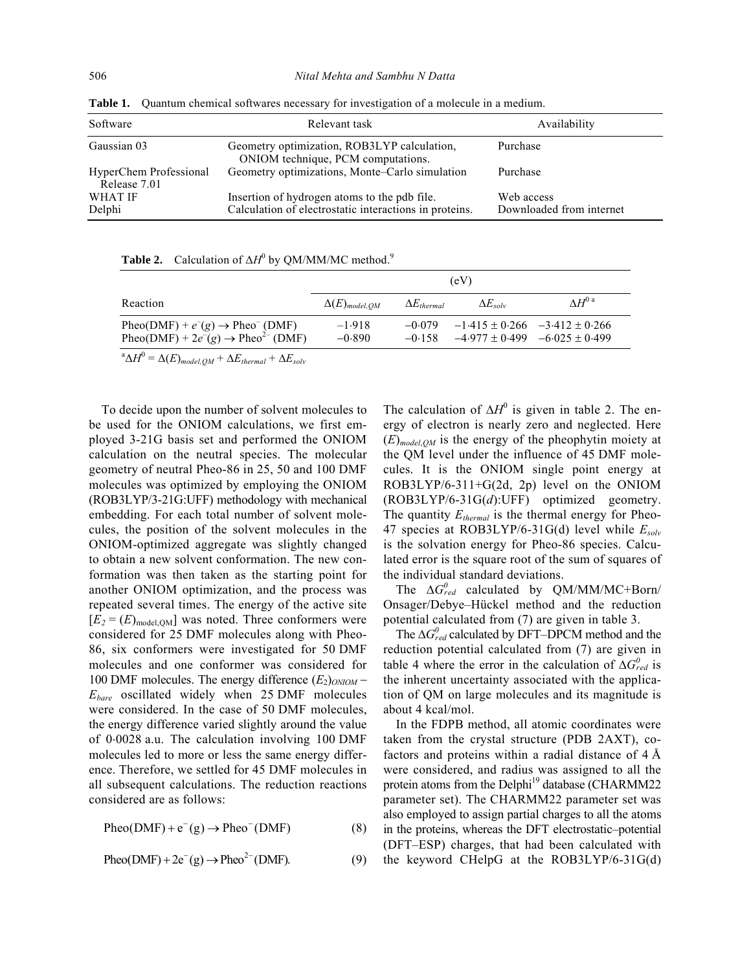| Software                               | Relevant task                                                                                          | Availability                           |
|----------------------------------------|--------------------------------------------------------------------------------------------------------|----------------------------------------|
| Gaussian 03                            | Geometry optimization, ROB3LYP calculation,<br>ONIOM technique, PCM computations.                      | Purchase                               |
| HyperChem Professional<br>Release 7.01 | Geometry optimizations, Monte-Carlo simulation                                                         | Purchase                               |
| <b>WHAT IF</b><br>Delphi               | Insertion of hydrogen atoms to the pdb file.<br>Calculation of electrostatic interactions in proteins. | Web access<br>Downloaded from internet |

**Table 1.** Quantum chemical softwares necessary for investigation of a molecule in a medium.

**Table 2.** Calculation of  $\Delta H^0$  by QM/MM/MC method.<sup>9</sup>

|                                                                                                                        | (eV)                   |                      |                                                                                                  |                 |
|------------------------------------------------------------------------------------------------------------------------|------------------------|----------------------|--------------------------------------------------------------------------------------------------|-----------------|
| Reaction                                                                                                               | $\Delta(E)_{model,OM}$ | $\Delta E_{thermal}$ | $\Delta E_{solv}$                                                                                | $\Delta H^{0a}$ |
| Pheo(DMF) + $e^-(g) \rightarrow$ Pheo <sup>-</sup> (DMF)<br>Pheo(DMF) + $2e^-(g) \rightarrow$ Pheo <sup>2-</sup> (DMF) | $-1.918$<br>$-0.890$   |                      | $-0.079$ $-1.415 \pm 0.266$ $-3.412 \pm 0.266$<br>$-0.158$ $-4.977 \pm 0.499$ $-6.025 \pm 0.499$ |                 |

 $\Delta H^0 = \Delta(E)_{model,QM} + \Delta E_{thermal} + \Delta E_{solv}$ 

 To decide upon the number of solvent molecules to be used for the ONIOM calculations, we first employed 3-21G basis set and performed the ONIOM calculation on the neutral species. The molecular geometry of neutral Pheo-86 in 25, 50 and 100 DMF molecules was optimized by employing the ONIOM (ROB3LYP/3-21G:UFF) methodology with mechanical embedding. For each total number of solvent molecules, the position of the solvent molecules in the ONIOM-optimized aggregate was slightly changed to obtain a new solvent conformation. The new conformation was then taken as the starting point for another ONIOM optimization, and the process was repeated several times. The energy of the active site  $[E_2 = (E)_{model,QM}]$  was noted. Three conformers were considered for 25 DMF molecules along with Pheo-86, six conformers were investigated for 50 DMF molecules and one conformer was considered for 100 DMF molecules. The energy difference (*E*2)*ONIOM* − *Ebare* oscillated widely when 25 DMF molecules were considered. In the case of 50 DMF molecules, the energy difference varied slightly around the value of 0⋅0028 a.u. The calculation involving 100 DMF molecules led to more or less the same energy difference. Therefore, we settled for 45 DMF molecules in all subsequent calculations. The reduction reactions considered are as follows:

 $Pheo(DMF) + e^{-}(g) \rightarrow Pheo^{-}(DMF)$  (8)

$$
Pheo(DMF) + 2e^-(g) \rightarrow Pheo^{2-}(DMF). \tag{9}
$$

The calculation of  $\Delta H^0$  is given in table 2. The energy of electron is nearly zero and neglected. Here (*E*)*model*,*QM* is the energy of the pheophytin moiety at the QM level under the influence of 45 DMF molecules. It is the ONIOM single point energy at ROB3LYP/6-311+G(2d, 2p) level on the ONIOM (ROB3LYP/6-31G(*d*):UFF) optimized geometry. The quantity  $E_{thermal}$  is the thermal energy for Pheo-47 species at ROB3LYP/6-31G(d) level while *Esolv* is the solvation energy for Pheo-86 species. Calculated error is the square root of the sum of squares of the individual standard deviations.

The  $\Delta G_{red}^0$  calculated by QM/MM/MC+Born/ Onsager/Debye–Hückel method and the reduction potential calculated from (7) are given in table 3.

The  $\Delta G_{red}^0$  calculated by DFT–DPCM method and the reduction potential calculated from (7) are given in table 4 where the error in the calculation of  $\Delta G_{red}^0$  is the inherent uncertainty associated with the application of QM on large molecules and its magnitude is about 4 kcal/mol.

 In the FDPB method, all atomic coordinates were taken from the crystal structure (PDB 2AXT), cofactors and proteins within a radial distance of 4 Å were considered, and radius was assigned to all the protein atoms from the Delphi<sup>19</sup> database (CHARMM22) parameter set). The CHARMM22 parameter set was also employed to assign partial charges to all the atoms in the proteins, whereas the DFT electrostatic–potential (DFT–ESP) charges, that had been calculated with the keyword CHelpG at the ROB3LYP/6-31G(d)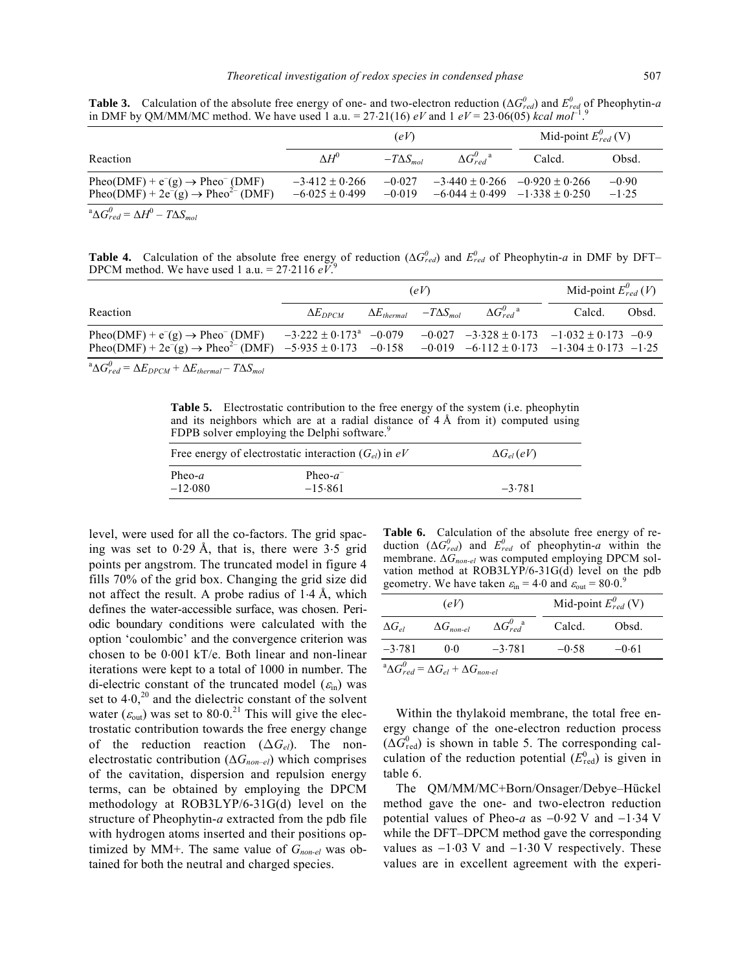**Table 3.** Calculation of the absolute free energy of one- and two-electron reduction ( $\Delta G_{red}^0$ ) and  $E_{red}^0$  of Pheophytin-*a* in DMF by QM/MM/MC method. We have used 1 a.u. =  $27.21(16)$  *eV* and 1 *eV* =  $23.06(05)$  *kcal mol*<sup>-1</sup>.<sup>9</sup>

|                                                                                                                        | (eV)                                     |                      | Mid-point $E_{red}^{0}(V)$          |                                                                                |                    |
|------------------------------------------------------------------------------------------------------------------------|------------------------------------------|----------------------|-------------------------------------|--------------------------------------------------------------------------------|--------------------|
| Reaction                                                                                                               | $\Delta H^0$                             | $-T\Delta S_{mol}$   | $\Delta G_{red}^{\theta}{}^{\rm a}$ | Calcd.                                                                         | Obsd.              |
| Pheo(DMF) + $e^-(g) \rightarrow$ Pheo <sup>-</sup> (DMF)<br>Pheo(DMF) + $2e^-(g) \rightarrow$ Pheo <sup>2-</sup> (DMF) | $-3.412 \pm 0.266$<br>$-6.025 \pm 0.499$ | $-0.027$<br>$-0.019$ |                                     | $-3.440 \pm 0.266$ $-0.920 \pm 0.266$<br>$-6.044 \pm 0.499$ $-1.338 \pm 0.250$ | $-0.90$<br>$-1.25$ |
| $^a\Delta G_{red}^0 = \Delta H^0 - T\Delta S_{mol}$                                                                    |                                          |                      |                                     |                                                                                |                    |

**Table 4.** Calculation of the absolute free energy of reduction ( $\Delta G_{red}^0$ ) and  $E_{red}^0$  of Pheophytin-*a* in DMF by DFT– DPCM method. We have used 1 a.u. = 27⋅2116 *eV*. 9

|                                                                                                                                                                                                     | (eV)                                     |                                         |  | Mid-point $E_{red}^{0}(V)$                            |        |       |
|-----------------------------------------------------------------------------------------------------------------------------------------------------------------------------------------------------|------------------------------------------|-----------------------------------------|--|-------------------------------------------------------|--------|-------|
| Reaction                                                                                                                                                                                            | $\Delta E_{DPCM}$                        | $\Delta E_{thermal}$ $-T\Delta S_{mol}$ |  | $\Delta G_{red}^{\theta}{}^{\rm a}$                   | Calcd. | Obsd. |
| Pheo(DMF) + $e^-(g) \rightarrow$ Pheo <sup>-</sup> (DMF)<br>Pheo(DMF) + 2e <sup>-</sup> (g) $\rightarrow$ Pheo <sup>2-</sup> (DMF) -5.935 ± 0.173 -0.158 -0.019 -6.112 ± 0.173 -1.304 ± 0.173 -1.25 | $-3.222 \pm 0.173$ <sup>a</sup> $-0.079$ |                                         |  | $-0.027$ $-3.328 \pm 0.173$ $-1.032 \pm 0.173$ $-0.9$ |        |       |

 $\Delta G_{red}^0 = \Delta E_{DPCM} + \Delta E_{thermal} - T \Delta S_{mol}$ 

**Table 5.** Electrostatic contribution to the free energy of the system (i.e. pheophytin and its neighbors which are at a radial distance of 4 Å from it) computed using FDPB solver employing the Delphi software.<sup>9</sup>

| Free energy of electrostatic interaction $(G_{el})$ in eV<br>$\Delta G_{el}(eV)$ |                          |          |  |
|----------------------------------------------------------------------------------|--------------------------|----------|--|
| Pheo- $a$<br>$-12.080$                                                           | Pheo- $a^-$<br>$-15.861$ | $-3.781$ |  |

level, were used for all the co-factors. The grid spacing was set to 0⋅29 Å, that is, there were 3⋅5 grid points per angstrom. The truncated model in figure 4 fills 70% of the grid box. Changing the grid size did not affect the result. A probe radius of 1⋅4 Å, which defines the water-accessible surface, was chosen. Periodic boundary conditions were calculated with the option 'coulombic' and the convergence criterion was chosen to be 0⋅001 kT/e. Both linear and non-linear iterations were kept to a total of 1000 in number. The di-electric constant of the truncated model ( $\varepsilon_{\text{in}}$ ) was set to  $4.0$ ,<sup>20</sup> and the dielectric constant of the solvent water ( $\varepsilon_{\text{out}}$ ) was set to 80⋅0.<sup>21</sup> This will give the electrostatic contribution towards the free energy change of the reduction reaction (Δ*Gel*). The nonelectrostatic contribution  $(\Delta G_{non-el})$  which comprises of the cavitation, dispersion and repulsion energy terms, can be obtained by employing the DPCM methodology at ROB3LYP/6-31G(d) level on the structure of Pheophytin-*a* extracted from the pdb file with hydrogen atoms inserted and their positions optimized by MM+. The same value of  $G_{non-el}$  was obtained for both the neutral and charged species.

**Table 6.** Calculation of the absolute free energy of reduction  $(\Delta G_{red}^0)$  and  $E_{red}^0$  of pheophytin-*a* within the membrane. Δ $G_{non-el}$  was computed employing DPCM solvation method at ROB3LYP/6-31G(d) level on the pdb geometry. We have taken  $\varepsilon_{\text{in}} = 4.0$  and  $\varepsilon_{\text{out}} = 80.0$ .<sup>9</sup>

| (eV)                                                     |                     | Mid-point $E_{red}^0$ (V) |         |         |
|----------------------------------------------------------|---------------------|---------------------------|---------|---------|
| $\Delta G_{el}$                                          | $\Delta G_{non-el}$ | $\Delta G_{red}^{0}^a$    | Calcd.  | Obsd.   |
| $-3.781$                                                 | 0.0                 | $-3.781$                  | $-0.58$ | $-0.61$ |
| $^a\Delta G_{red}^0 = \Delta G_{el} + \Delta G_{non-el}$ |                     |                           |         |         |

 Within the thylakoid membrane, the total free energy change of the one-electron reduction process  $(\Delta G_{\text{red}}^0)$  is shown in table 5. The corresponding calculation of the reduction potential  $(E_{\text{red}}^0)$  is given in table 6.

 The QM/MM/MC+Born/Onsager/Debye–Hückel method gave the one- and two-electron reduction potential values of Pheo-*a* as −0⋅92 V and −1⋅34 V while the DFT–DPCM method gave the corresponding values as  $-1.03$  V and  $-1.30$  V respectively. These values are in excellent agreement with the experi-